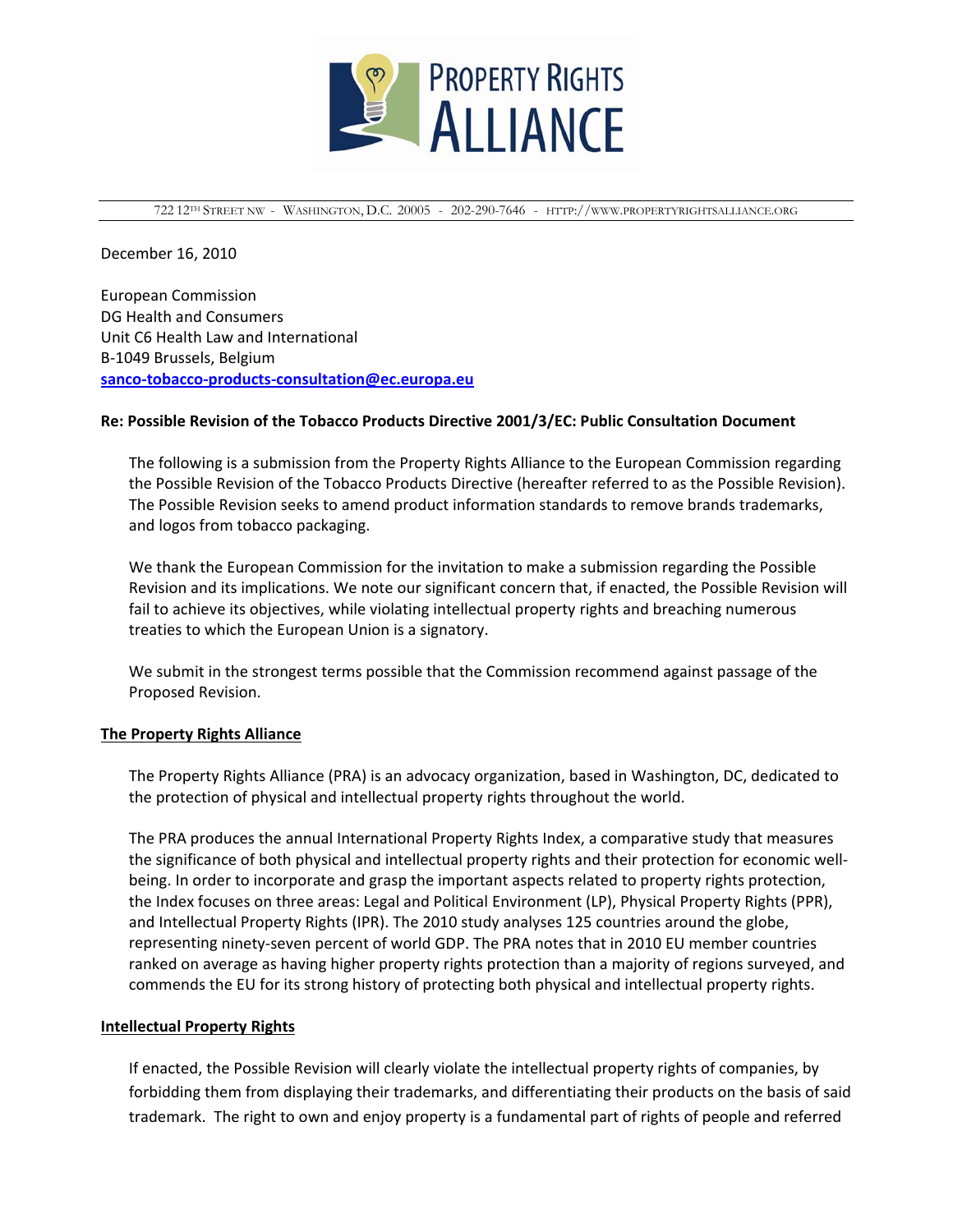

722 12TH STREET NW - WASHINGTON, D.C. 20005 - 202-290-7646 - HTTP://WWW.PROPERTYRIGHTSALLIANCE.ORG

December 16, 2010

European Commission DG Health and Consumers Unit C6 Health Law and International B‐1049 Brussels, Belgium **sanco‐tobacco‐products‐[consultation@ec.europa.eu](mailto:sanco-tobacco-products-consultation@ec.europa.eu)** 

#### **Re: Possible Revision of the Tobacco Products Directive 2001/3/EC: Public Consultation Document**

The following is a submission from the Property Rights Alliance to the European Commission regarding the Possible Revision of the Tobacco Products Directive (hereafter referred to as the Possible Revision). The Possible Revision seeks to amend product information standards to remove brands trademarks, and logos from tobacco packaging.

We thank the European Commission for the invitation to make a submission regarding the Possible Revision and its implications. We note our significant concern that, if enacted, the Possible Revision will fail to achieve its objectives, while violating intellectual property rights and breaching numerous treaties to which the European Union is a signatory.

We submit in the strongest terms possible that the Commission recommend against passage of the Proposed Revision.

#### **The Property Rights Alliance**

The Property Rights Alliance (PRA) is an advocacy organization, based in Washington, DC, dedicated to the protection of physical and intellectual property rights throughout the world.

The PRA produces the annual International Property Rights Index, a comparative study that measures the significance of both physical and intellectual property rights and their protection for economic wellbeing. In order to incorporate and grasp the important aspects related to property rights protection, the Index focuses on three areas: Legal and Political Environment (LP), Physical Property Rights (PPR), and Intellectual Property Rights (IPR). The 2010 study analyses 125 countries around the globe, representing ninety‐seven percent of world GDP. The PRA notes that in 2010 EU member countries ranked on average as having higher property rights protection than a majority of regions surveyed, and commends the EU for its strong history of protecting both physical and intellectual property rights.

#### **Intellectual Property Rights**

If enacted, the Possible Revision will clearly violate the intellectual property rights of companies, by forbidding them from displaying their trademarks, and differentiating their products on the basis of said trademark. The right to own and enjoy property is a fundamental part of rights of people and referred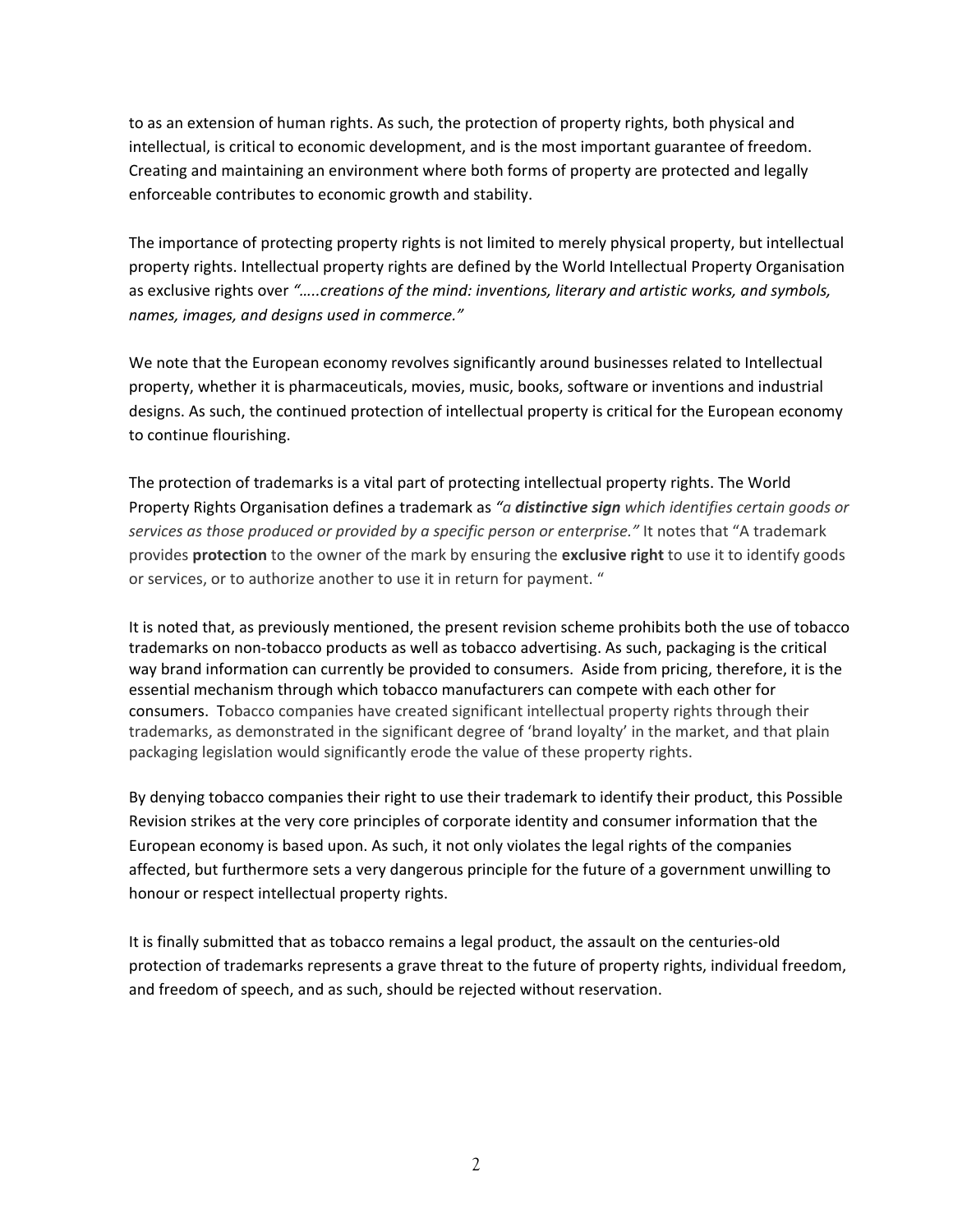to as an extension of human rights. As such, the protection of property rights, both physical and intellectual, is critical to economic development, and is the most important guarantee of freedom. Creating and maintaining an environment where both forms of property are protected and legally enforceable contributes to economic growth and stability.

The importance of protecting property rights is not limited to merely physical property, but intellectual property rights. Intellectual property rights are defined by the World Intellectual Property Organisation as exclusive rights over *"…..creations of the mind: inventions, literary and artistic works, and symbols, names, images, and designs used in commerce."*

We note that the European economy revolves significantly around businesses related to Intellectual property, whether it is pharmaceuticals, movies, music, books, software or inventions and industrial designs. As such, the continued protection of intellectual property is critical for the European economy to continue flourishing.

The protection of trademarks is a vital part of protecting intellectual property rights. The World Property Rights Organisation defines a trademark as *"a distinctive sign which identifies certain goods or services as those produced or provided by a specific person or enterprise."* It notes that "A trademark provides **protection** to the owner of the mark by ensuring the **exclusive right** to use it to identify goods or services, or to authorize another to use it in return for payment. "

It is noted that, as previously mentioned, the present revision scheme prohibits both the use of tobacco trademarks on non‐tobacco products as well as tobacco advertising. As such, packaging is the critical way brand information can currently be provided to consumers. Aside from pricing, therefore, it is the essential mechanism through which tobacco manufacturers can compete with each other for consumers. Tobacco companies have created significant intellectual property rights through their trademarks, as demonstrated in the significant degree of 'brand loyalty' in the market, and that plain packaging legislation would significantly erode the value of these property rights.

By denying tobacco companies their right to use their trademark to identify their product, this Possible Revision strikes at the very core principles of corporate identity and consumer information that the European economy is based upon. As such, it not only violates the legal rights of the companies affected, but furthermore sets a very dangerous principle for the future of a government unwilling to honour or respect intellectual property rights.

It is finally submitted that as tobacco remains a legal product, the assault on the centuries‐old protection of trademarks represents a grave threat to the future of property rights, individual freedom, and freedom of speech, and as such, should be rejected without reservation.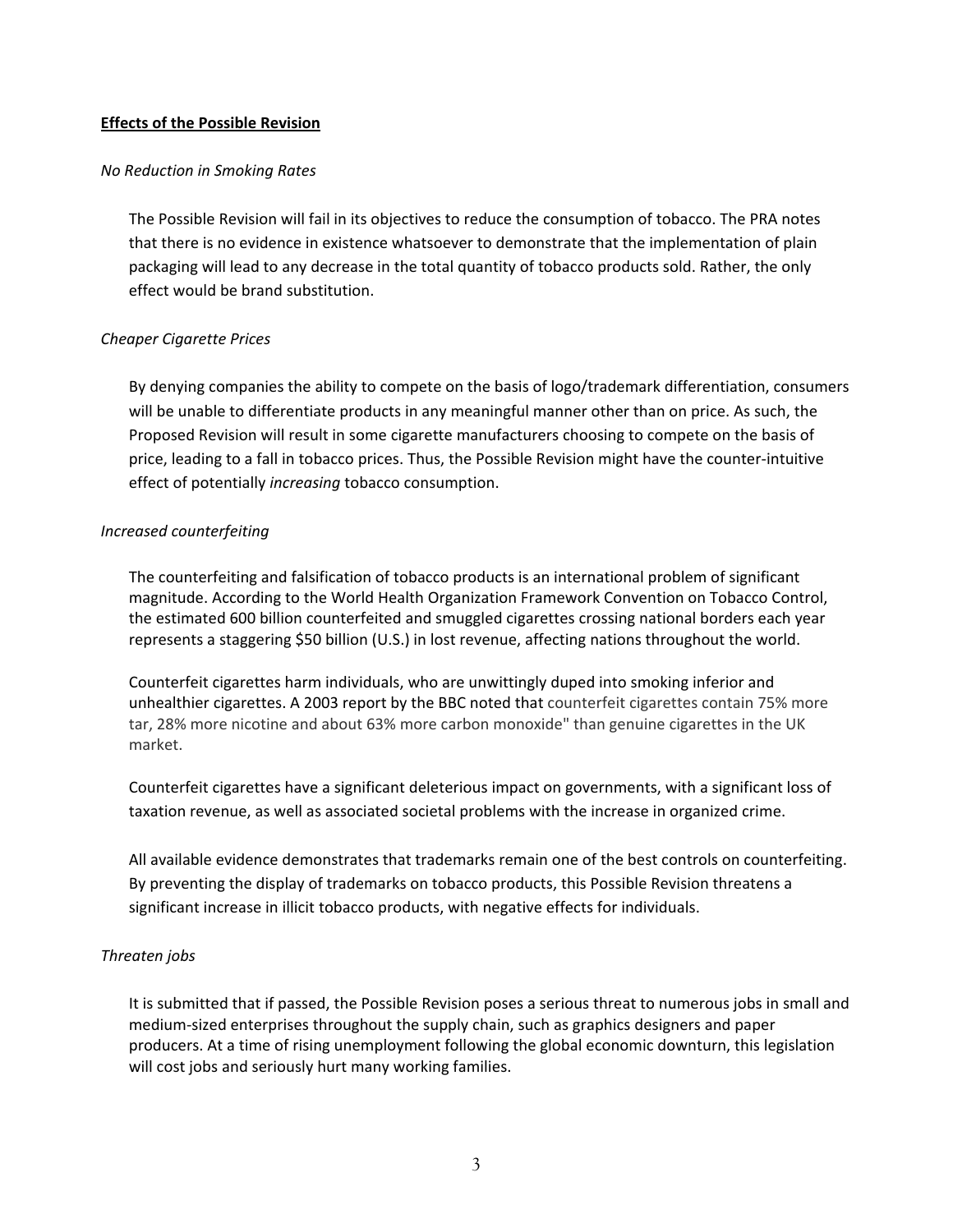# **Effects of the Possible Revision**

# *No Reduction in Smoking Rates*

The Possible Revision will fail in its objectives to reduce the consumption of tobacco. The PRA notes that there is no evidence in existence whatsoever to demonstrate that the implementation of plain packaging will lead to any decrease in the total quantity of tobacco products sold. Rather, the only effect would be brand substitution.

# *Cheaper Cigarette Prices*

By denying companies the ability to compete on the basis of logo/trademark differentiation, consumers will be unable to differentiate products in any meaningful manner other than on price. As such, the Proposed Revision will result in some cigarette manufacturers choosing to compete on the basis of price, leading to a fall in tobacco prices. Thus, the Possible Revision might have the counter‐intuitive effect of potentially *increasing* tobacco consumption.

# *Increased counterfeiting*

The counterfeiting and falsification of tobacco products is an international problem of significant magnitude. According to the World Health Organization Framework Convention on Tobacco Control, the estimated 600 billion counterfeited and smuggled cigarettes crossing national borders each year represents a staggering \$50 billion (U.S.) in lost revenue, affecting nations throughout the world.

Counterfeit cigarettes harm individuals, who are unwittingly duped into smoking inferior and unhealthier cigarettes. A 2003 report by the BBC noted that counterfeit cigarettes contain 75% more tar, 28% more nicotine and about 63% more carbon monoxide" than genuine cigarettes in the UK market.

Counterfeit cigarettes have a significant deleterious impact on governments, with a significant loss of taxation revenue, as well as associated societal problems with the increase in organized crime.

All available evidence demonstrates that trademarks remain one of the best controls on counterfeiting. By preventing the display of trademarks on tobacco products, this Possible Revision threatens a significant increase in illicit tobacco products, with negative effects for individuals.

# *Threaten jobs*

It is submitted that if passed, the Possible Revision poses a serious threat to numerous jobs in small and medium‐sized enterprises throughout the supply chain, such as graphics designers and paper producers. At a time of rising unemployment following the global economic downturn, this legislation will cost jobs and seriously hurt many working families.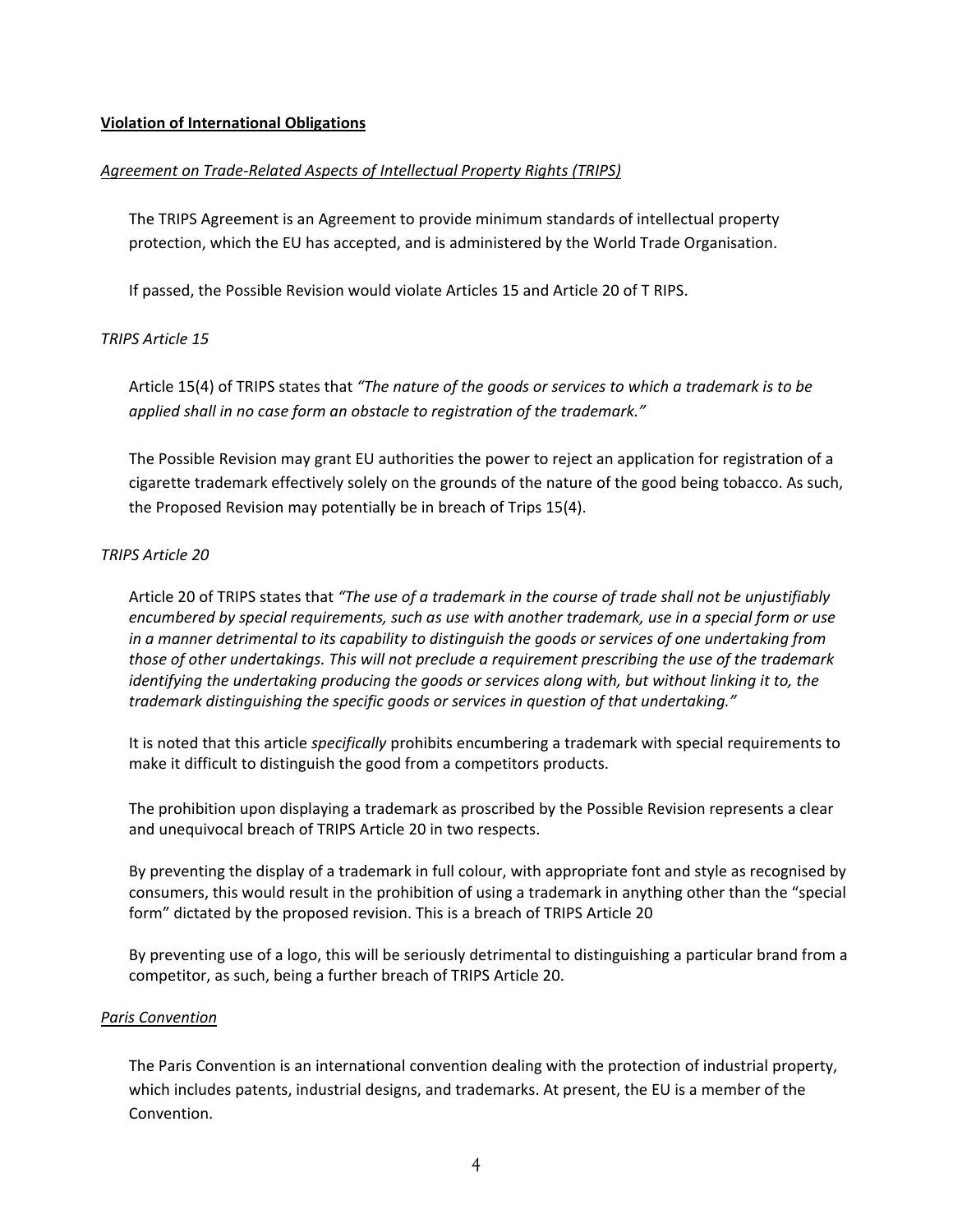# **Violation of International Obligations**

# *Agreement on Trade‐Related Aspects of Intellectual Property Rights (TRIPS)*

The TRIPS Agreement is an Agreement to provide minimum standards of intellectual property protection, which the EU has accepted, and is administered by the World Trade Organisation.

If passed, the Possible Revision would violate Articles 15 and Article 20 of T RIPS.

# *TRIPS Article 15*

Article 15(4) of TRIPS states that *"The nature of the goods or services to which a trademark is to be applied shall in no case form an obstacle to registration of the trademark."*

The Possible Revision may grant EU authorities the power to reject an application for registration of a cigarette trademark effectively solely on the grounds of the nature of the good being tobacco. As such, the Proposed Revision may potentially be in breach of Trips 15(4).

# *TRIPS Article 20*

Article 20 of TRIPS states that *"The use of a trademark in the course of trade shall not be unjustifiably encumbered by special requirements, such as use with another trademark, use in a special form or use in a manner detrimental to its capability to distinguish the goods or services of one undertaking from those of other undertakings. This will not preclude a requirement prescribing the use of the trademark identifying the undertaking producing the goods or services along with, but without linking it to, the trademark distinguishing the specific goods or services in question of that undertaking."*

It is noted that this article *specifically* prohibits encumbering a trademark with special requirements to make it difficult to distinguish the good from a competitors products.

The prohibition upon displaying a trademark as proscribed by the Possible Revision represents a clear and unequivocal breach of TRIPS Article 20 in two respects.

By preventing the display of a trademark in full colour, with appropriate font and style as recognised by consumers, this would result in the prohibition of using a trademark in anything other than the "special form" dictated by the proposed revision. This is a breach of TRIPS Article 20

By preventing use of a logo, this will be seriously detrimental to distinguishing a particular brand from a competitor, as such, being a further breach of TRIPS Article 20.

# *Paris Convention*

The Paris Convention is an international convention dealing with the protection of industrial property, which includes patents, industrial designs, and trademarks. At present, the EU is a member of the Convention.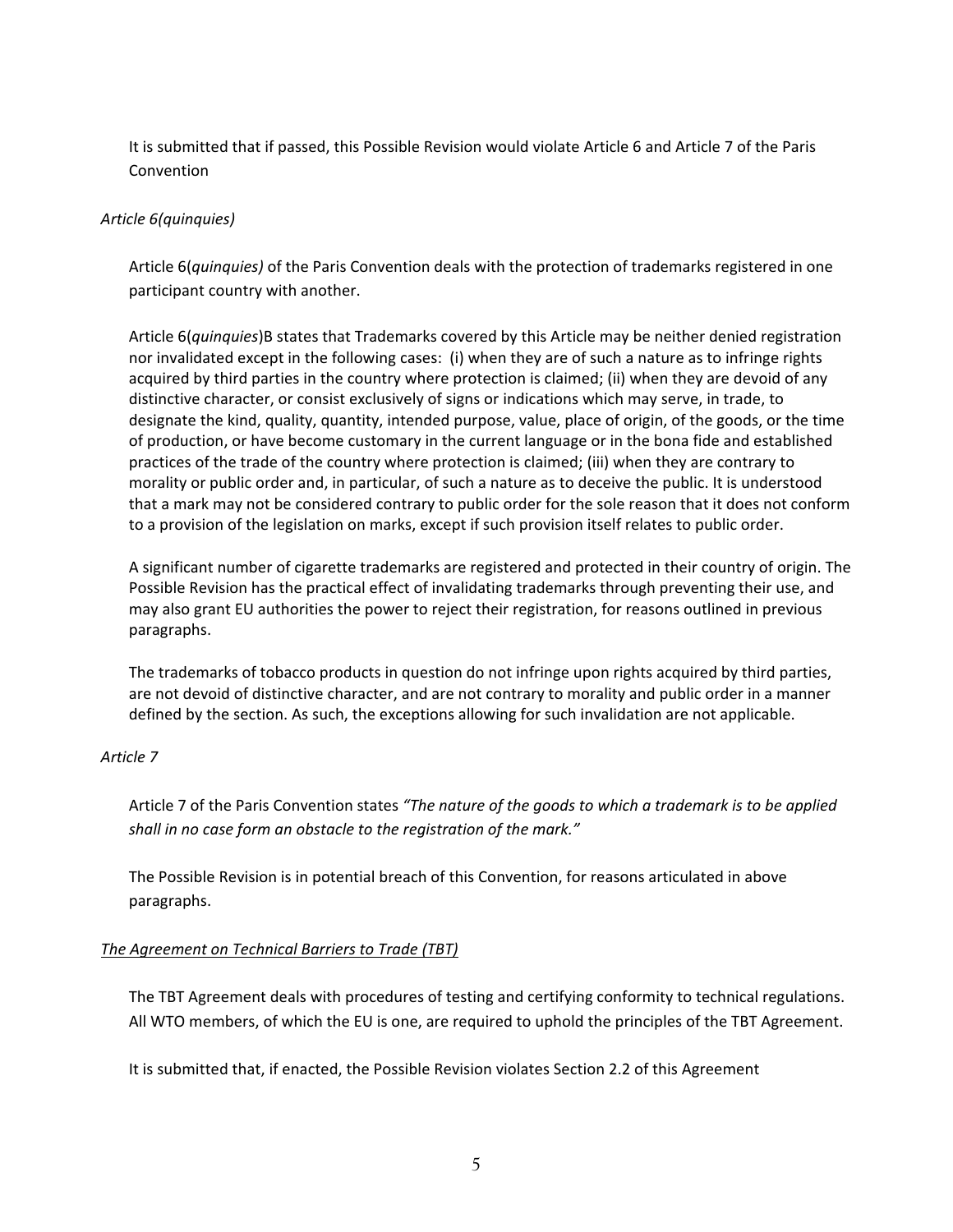It is submitted that if passed, this Possible Revision would violate Article 6 and Article 7 of the Paris Convention

# *Article 6(quinquies)*

Article 6(*quinquies)* of the Paris Convention deals with the protection of trademarks registered in one participant country with another.

Article 6(*quinquies*)B states that Trademarks covered by this Article may be neither denied registration nor invalidated except in the following cases: (i) when they are of such a nature as to infringe rights acquired by third parties in the country where protection is claimed; (ii) when they are devoid of any distinctive character, or consist exclusively of signs or indications which may serve, in trade, to designate the kind, quality, quantity, intended purpose, value, place of origin, of the goods, or the time of production, or have become customary in the current language or in the bona fide and established practices of the trade of the country where protection is claimed; (iii) when they are contrary to morality or public order and, in particular, of such a nature as to deceive the public. It is understood that a mark may not be considered contrary to public order for the sole reason that it does not conform to a provision of the legislation on marks, except if such provision itself relates to public order.

A significant number of cigarette trademarks are registered and protected in their country of origin. The Possible Revision has the practical effect of invalidating trademarks through preventing their use, and may also grant EU authorities the power to reject their registration, for reasons outlined in previous paragraphs.

The trademarks of tobacco products in question do not infringe upon rights acquired by third parties, are not devoid of distinctive character, and are not contrary to morality and public order in a manner defined by the section. As such, the exceptions allowing for such invalidation are not applicable.

# *Article 7*

Article 7 of the Paris Convention states *"The nature of the goods to which a trademark is to be applied shall in no case form an obstacle to the registration of the mark."*

The Possible Revision is in potential breach of this Convention, for reasons articulated in above paragraphs.

# *The Agreement on Technical Barriers to Trade (TBT)*

The TBT Agreement deals with procedures of testing and certifying conformity to technical regulations. All WTO members, of which the EU is one, are required to uphold the principles of the TBT Agreement.

It is submitted that, if enacted, the Possible Revision violates Section 2.2 of this Agreement